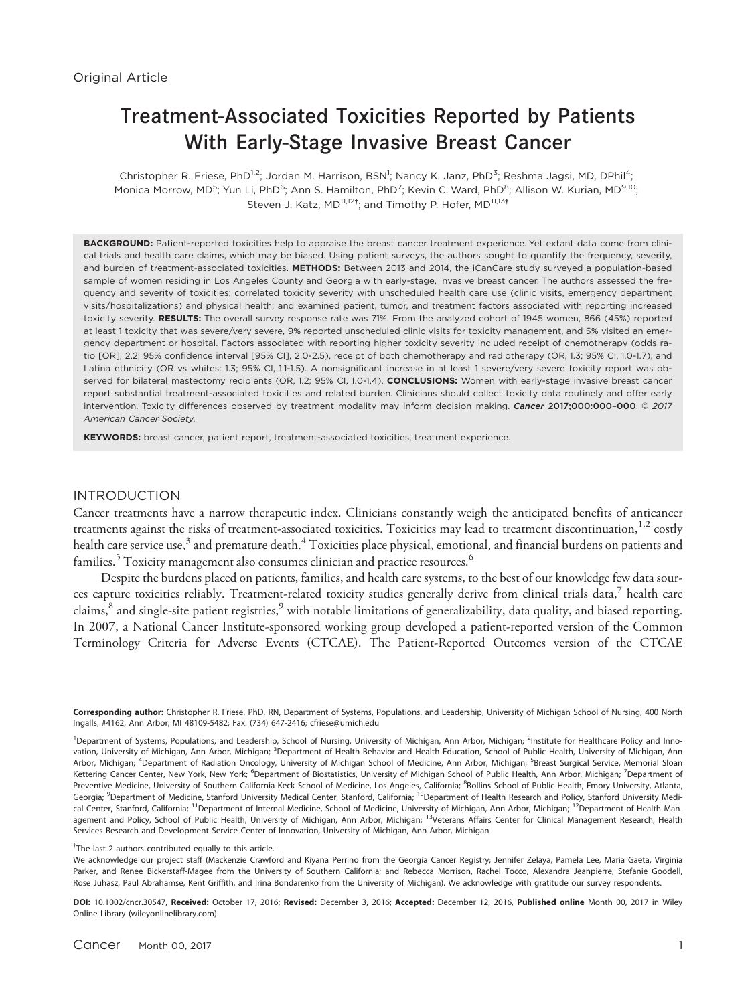# Treatment-Associated Toxicities Reported by Patients With Early-Stage Invasive Breast Cancer

Christopher R. Friese, PhD<sup>1,2</sup>; Jordan M. Harrison, BSN<sup>1</sup>; Nancy K. Janz, PhD<sup>3</sup>; Reshma Jagsi, MD, DPhil<sup>4</sup>; Monica Morrow, MD<sup>5</sup>; Yun Li, PhD<sup>6</sup>; Ann S. Hamilton, PhD<sup>7</sup>; Kevin C. Ward, PhD<sup>8</sup>; Allison W. Kurian, MD<sup>9,10</sup>; Steven J. Katz, MD<sup>11,12†</sup>; and Timothy P. Hofer, MD<sup>11,13†</sup>

BACKGROUND: Patient-reported toxicities help to appraise the breast cancer treatment experience. Yet extant data come from clinical trials and health care claims, which may be biased. Using patient surveys, the authors sought to quantify the frequency, severity, and burden of treatment-associated toxicities. METHODS: Between 2013 and 2014, the iCanCare study surveyed a population-based sample of women residing in Los Angeles County and Georgia with early-stage, invasive breast cancer. The authors assessed the frequency and severity of toxicities; correlated toxicity severity with unscheduled health care use (clinic visits, emergency department visits/hospitalizations) and physical health; and examined patient, tumor, and treatment factors associated with reporting increased toxicity severity. RESULTS: The overall survey response rate was 71%. From the analyzed cohort of 1945 women, 866 (45%) reported at least 1 toxicity that was severe/very severe, 9% reported unscheduled clinic visits for toxicity management, and 5% visited an emergency department or hospital. Factors associated with reporting higher toxicity severity included receipt of chemotherapy (odds ratio [OR], 2.2; 95% confidence interval [95% CI], 2.0-2.5), receipt of both chemotherapy and radiotherapy (OR, 1.3; 95% CI, 1.0-1.7), and Latina ethnicity (OR vs whites: 1.3; 95% CI, 1.1-1.5). A nonsignificant increase in at least 1 severe/very severe toxicity report was observed for bilateral mastectomy recipients (OR, 1.2; 95% CI, 1.0-1.4). CONCLUSIONS: Women with early-stage invasive breast cancer report substantial treatment-associated toxicities and related burden. Clinicians should collect toxicity data routinely and offer early intervention. Toxicity differences observed by treatment modality may inform decision making. Cancer 2017;000:000-000. @ 2017 American Cancer Society.

KEYWORDS: breast cancer, patient report, treatment-associated toxicities, treatment experience.

# INTRODUCTION

Cancer treatments have a narrow therapeutic index. Clinicians constantly weigh the anticipated benefits of anticancer treatments against the risks of treatment-associated toxicities. Toxicities may lead to treatment discontinuation,  $1,2$  costly health care service use,<sup>3</sup> and premature death.<sup>4</sup> Toxicities place physical, emotional, and financial burdens on patients and families.<sup>5</sup> Toxicity management also consumes clinician and practice resources.<sup>6</sup>

Despite the burdens placed on patients, families, and health care systems, to the best of our knowledge few data sources capture toxicities reliably. Treatment-related toxicity studies generally derive from clinical trials data,7 health care claims, $^8$  and single-site patient registries, $^9$  with notable limitations of generalizability, data quality, and biased reporting. In 2007, a National Cancer Institute-sponsored working group developed a patient-reported version of the Common Terminology Criteria for Adverse Events (CTCAE). The Patient-Reported Outcomes version of the CTCAE

Corresponding author: Christopher R. Friese, PhD, RN, Department of Systems, Populations, and Leadership, University of Michigan School of Nursing, 400 North Ingalls, #4162, Ann Arbor, MI 48109-5482; Fax: (734) 647-2416; cfriese@umich.edu

<sup>1</sup>Department of Systems, Populations, and Leadership, School of Nursing, University of Michigan, Ann Arbor, Michigan; <sup>2</sup>Institute for Healthcare Policy and Innovation, University of Michigan, Ann Arbor, Michigan; <sup>3</sup>Department of Health Behavior and Health Education, School of Public Health, University of Michigan, Ann Arbor, Michigan; <sup>4</sup>Department of Radiation Oncology, University of Michigan School of Medicine, Ann Arbor, Michigan; <sup>5</sup>Breast Surgical Service, Memorial Sloan Kettering Cancer Center, New York, New York; <sup>6</sup>Department of Biostatistics, University of Michigan School of Public Health, Ann Arbor, Michigan; <sup>7</sup>Department of Preventive Medicine, University of Southern California Keck School of Medicine, Los Angeles, California; <sup>8</sup>Rollins School of Public Health, Emory University, Atlanta, Georgia; <sup>9</sup>Department of Medicine, Stanford University Medical Center, Stanford, California; <sup>10</sup>Department of Health Research and Policy, Stanford University Medical Center, Stanford, California; <sup>11</sup>Department of Internal Medicine, School of Medicine, University of Michigan, Ann Arbor, Michigan; <sup>12</sup>Department of Health Management and Policy, School of Public Health, University of Michigan, Ann Arbor, Michigan; <sup>13</sup>Veterans Affairs Center for Clinical Management Research, Health Services Research and Development Service Center of Innovation, University of Michigan, Ann Arbor, Michigan

† The last 2 authors contributed equally to this article.

We acknowledge our project staff (Mackenzie Crawford and Kiyana Perrino from the Georgia Cancer Registry; Jennifer Zelaya, Pamela Lee, Maria Gaeta, Virginia Parker, and Renee Bickerstaff-Magee from the University of Southern California; and Rebecca Morrison, Rachel Tocco, Alexandra Jeanpierre, Stefanie Goodell, Rose Juhasz, Paul Abrahamse, Kent Griffith, and Irina Bondarenko from the University of Michigan). We acknowledge with gratitude our survey respondents.

DOI: 10.1002/cncr.30547, Received: October 17, 2016; Revised: December 3, 2016; Accepted: December 12, 2016, Published online Month 00, 2017 in Wiley Online Library (wileyonlinelibrary.com)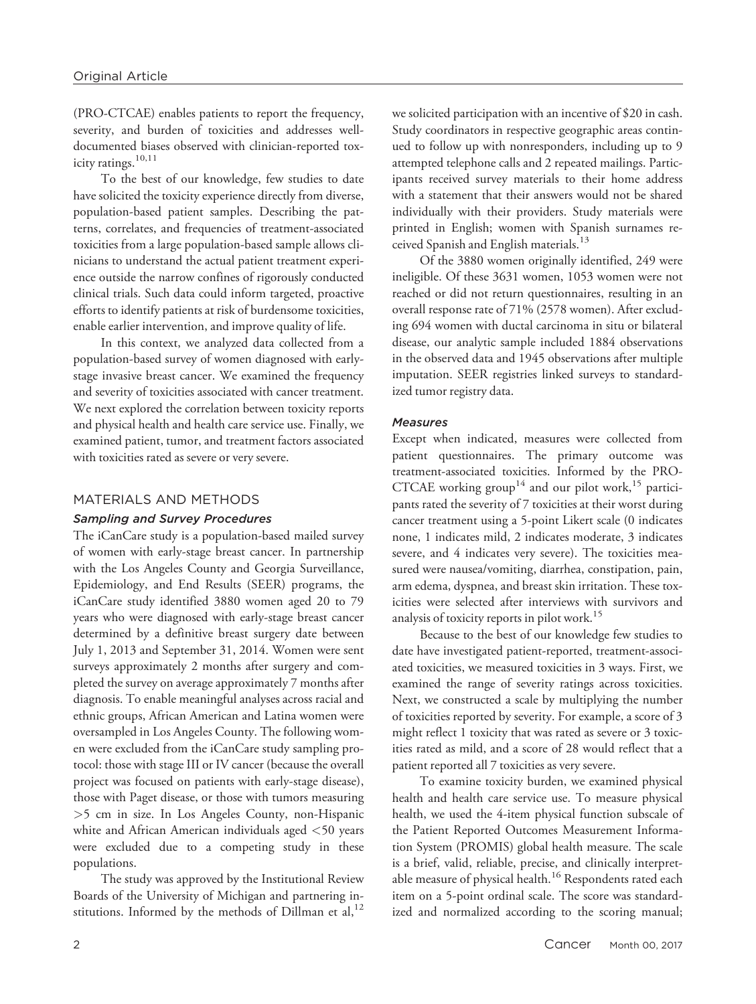(PRO-CTCAE) enables patients to report the frequency, severity, and burden of toxicities and addresses welldocumented biases observed with clinician-reported toxicity ratings.  $\real^{10,11}$ 

To the best of our knowledge, few studies to date have solicited the toxicity experience directly from diverse, population-based patient samples. Describing the patterns, correlates, and frequencies of treatment-associated toxicities from a large population-based sample allows clinicians to understand the actual patient treatment experience outside the narrow confines of rigorously conducted clinical trials. Such data could inform targeted, proactive efforts to identify patients at risk of burdensome toxicities, enable earlier intervention, and improve quality of life.

In this context, we analyzed data collected from a population-based survey of women diagnosed with earlystage invasive breast cancer. We examined the frequency and severity of toxicities associated with cancer treatment. We next explored the correlation between toxicity reports and physical health and health care service use. Finally, we examined patient, tumor, and treatment factors associated with toxicities rated as severe or very severe.

# MATERIALS AND METHODS

# Sampling and Survey Procedures

The iCanCare study is a population-based mailed survey of women with early-stage breast cancer. In partnership with the Los Angeles County and Georgia Surveillance, Epidemiology, and End Results (SEER) programs, the iCanCare study identified 3880 women aged 20 to 79 years who were diagnosed with early-stage breast cancer determined by a definitive breast surgery date between July 1, 2013 and September 31, 2014. Women were sent surveys approximately 2 months after surgery and completed the survey on average approximately 7 months after diagnosis. To enable meaningful analyses across racial and ethnic groups, African American and Latina women were oversampled in Los Angeles County. The following women were excluded from the iCanCare study sampling protocol: those with stage III or IV cancer (because the overall project was focused on patients with early-stage disease), those with Paget disease, or those with tumors measuring >5 cm in size. In Los Angeles County, non-Hispanic white and African American individuals aged <50 years were excluded due to a competing study in these populations.

The study was approved by the Institutional Review Boards of the University of Michigan and partnering institutions. Informed by the methods of Dillman et al,  $12$  we solicited participation with an incentive of \$20 in cash. Study coordinators in respective geographic areas continued to follow up with nonresponders, including up to 9 attempted telephone calls and 2 repeated mailings. Participants received survey materials to their home address with a statement that their answers would not be shared individually with their providers. Study materials were printed in English; women with Spanish surnames received Spanish and English materials.<sup>13</sup>

Of the 3880 women originally identified, 249 were ineligible. Of these 3631 women, 1053 women were not reached or did not return questionnaires, resulting in an overall response rate of 71% (2578 women). After excluding 694 women with ductal carcinoma in situ or bilateral disease, our analytic sample included 1884 observations in the observed data and 1945 observations after multiple imputation. SEER registries linked surveys to standardized tumor registry data.

# Measures

Except when indicated, measures were collected from patient questionnaires. The primary outcome was treatment-associated toxicities. Informed by the PRO-CTCAE working group<sup>14</sup> and our pilot work,<sup>15</sup> participants rated the severity of 7 toxicities at their worst during cancer treatment using a 5-point Likert scale (0 indicates none, 1 indicates mild, 2 indicates moderate, 3 indicates severe, and 4 indicates very severe). The toxicities measured were nausea/vomiting, diarrhea, constipation, pain, arm edema, dyspnea, and breast skin irritation. These toxicities were selected after interviews with survivors and analysis of toxicity reports in pilot work.<sup>15</sup>

Because to the best of our knowledge few studies to date have investigated patient-reported, treatment-associated toxicities, we measured toxicities in 3 ways. First, we examined the range of severity ratings across toxicities. Next, we constructed a scale by multiplying the number of toxicities reported by severity. For example, a score of 3 might reflect 1 toxicity that was rated as severe or 3 toxicities rated as mild, and a score of 28 would reflect that a patient reported all 7 toxicities as very severe.

To examine toxicity burden, we examined physical health and health care service use. To measure physical health, we used the 4-item physical function subscale of the Patient Reported Outcomes Measurement Information System (PROMIS) global health measure. The scale is a brief, valid, reliable, precise, and clinically interpretable measure of physical health.<sup>16</sup> Respondents rated each item on a 5-point ordinal scale. The score was standardized and normalized according to the scoring manual;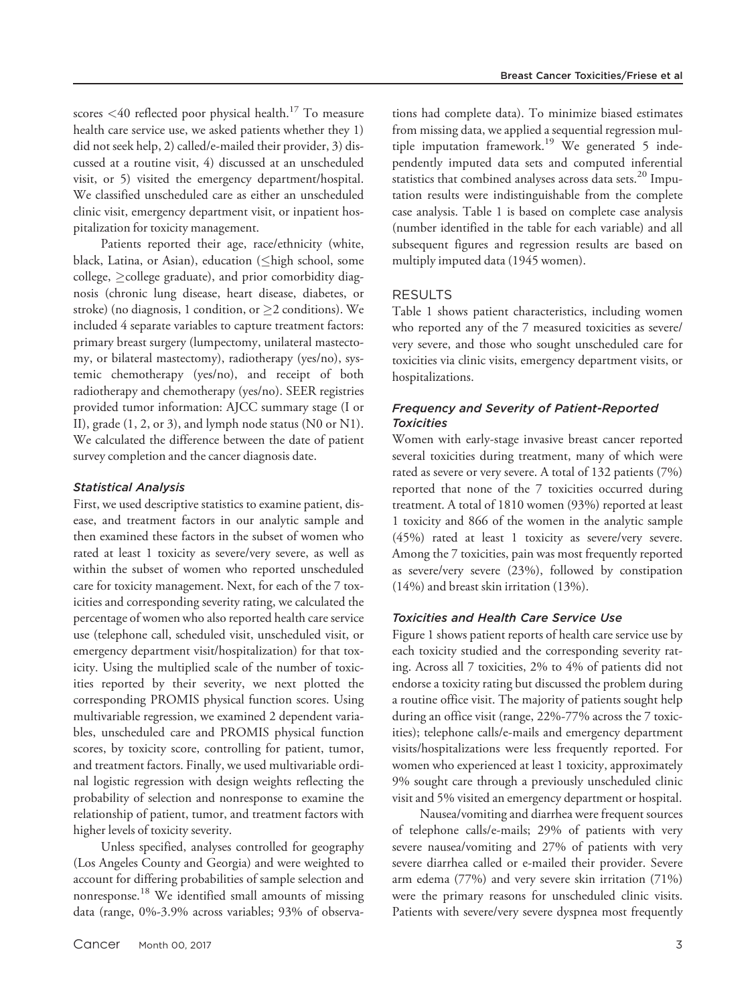scores  $\leq$ 40 reflected poor physical health.<sup>17</sup> To measure health care service use, we asked patients whether they 1) did not seek help, 2) called/e-mailed their provider, 3) discussed at a routine visit, 4) discussed at an unscheduled visit, or 5) visited the emergency department/hospital. We classified unscheduled care as either an unscheduled clinic visit, emergency department visit, or inpatient hospitalization for toxicity management.

Patients reported their age, race/ethnicity (white, black, Latina, or Asian), education ( $\leq$ high school, some college,  $\geq$  college graduate), and prior comorbidity diagnosis (chronic lung disease, heart disease, diabetes, or stroke) (no diagnosis, 1 condition, or  $\geq$  2 conditions). We included 4 separate variables to capture treatment factors: primary breast surgery (lumpectomy, unilateral mastectomy, or bilateral mastectomy), radiotherapy (yes/no), systemic chemotherapy (yes/no), and receipt of both radiotherapy and chemotherapy (yes/no). SEER registries provided tumor information: AJCC summary stage (I or II), grade (1, 2, or 3), and lymph node status (N0 or N1). We calculated the difference between the date of patient survey completion and the cancer diagnosis date.

## Statistical Analysis

First, we used descriptive statistics to examine patient, disease, and treatment factors in our analytic sample and then examined these factors in the subset of women who rated at least 1 toxicity as severe/very severe, as well as within the subset of women who reported unscheduled care for toxicity management. Next, for each of the 7 toxicities and corresponding severity rating, we calculated the percentage of women who also reported health care service use (telephone call, scheduled visit, unscheduled visit, or emergency department visit/hospitalization) for that toxicity. Using the multiplied scale of the number of toxicities reported by their severity, we next plotted the corresponding PROMIS physical function scores. Using multivariable regression, we examined 2 dependent variables, unscheduled care and PROMIS physical function scores, by toxicity score, controlling for patient, tumor, and treatment factors. Finally, we used multivariable ordinal logistic regression with design weights reflecting the probability of selection and nonresponse to examine the relationship of patient, tumor, and treatment factors with higher levels of toxicity severity.

Unless specified, analyses controlled for geography (Los Angeles County and Georgia) and were weighted to account for differing probabilities of sample selection and nonresponse. <sup>18</sup> We identified small amounts of missing data (range, 0%-3.9% across variables; 93% of observa-

tions had complete data). To minimize biased estimates from missing data, we applied a sequential regression multiple imputation framework.<sup>19</sup> We generated 5 independently imputed data sets and computed inferential statistics that combined analyses across data sets.<sup>20</sup> Imputation results were indistinguishable from the complete case analysis. Table 1 is based on complete case analysis (number identified in the table for each variable) and all subsequent figures and regression results are based on multiply imputed data (1945 women).

# RESULTS

Table 1 shows patient characteristics, including women who reported any of the 7 measured toxicities as severe/ very severe, and those who sought unscheduled care for toxicities via clinic visits, emergency department visits, or hospitalizations.

# Frequency and Severity of Patient-Reported **Toxicities**

Women with early-stage invasive breast cancer reported several toxicities during treatment, many of which were rated as severe or very severe. A total of 132 patients (7%) reported that none of the 7 toxicities occurred during treatment. A total of 1810 women (93%) reported at least 1 toxicity and 866 of the women in the analytic sample (45%) rated at least 1 toxicity as severe/very severe. Among the 7 toxicities, pain was most frequently reported as severe/very severe (23%), followed by constipation (14%) and breast skin irritation (13%).

### Toxicities and Health Care Service Use

Figure 1 shows patient reports of health care service use by each toxicity studied and the corresponding severity rating. Across all 7 toxicities, 2% to 4% of patients did not endorse a toxicity rating but discussed the problem during a routine office visit. The majority of patients sought help during an office visit (range, 22%-77% across the 7 toxicities); telephone calls/e-mails and emergency department visits/hospitalizations were less frequently reported. For women who experienced at least 1 toxicity, approximately 9% sought care through a previously unscheduled clinic visit and 5% visited an emergency department or hospital.

Nausea/vomiting and diarrhea were frequent sources of telephone calls/e-mails; 29% of patients with very severe nausea/vomiting and 27% of patients with very severe diarrhea called or e-mailed their provider. Severe arm edema (77%) and very severe skin irritation (71%) were the primary reasons for unscheduled clinic visits. Patients with severe/very severe dyspnea most frequently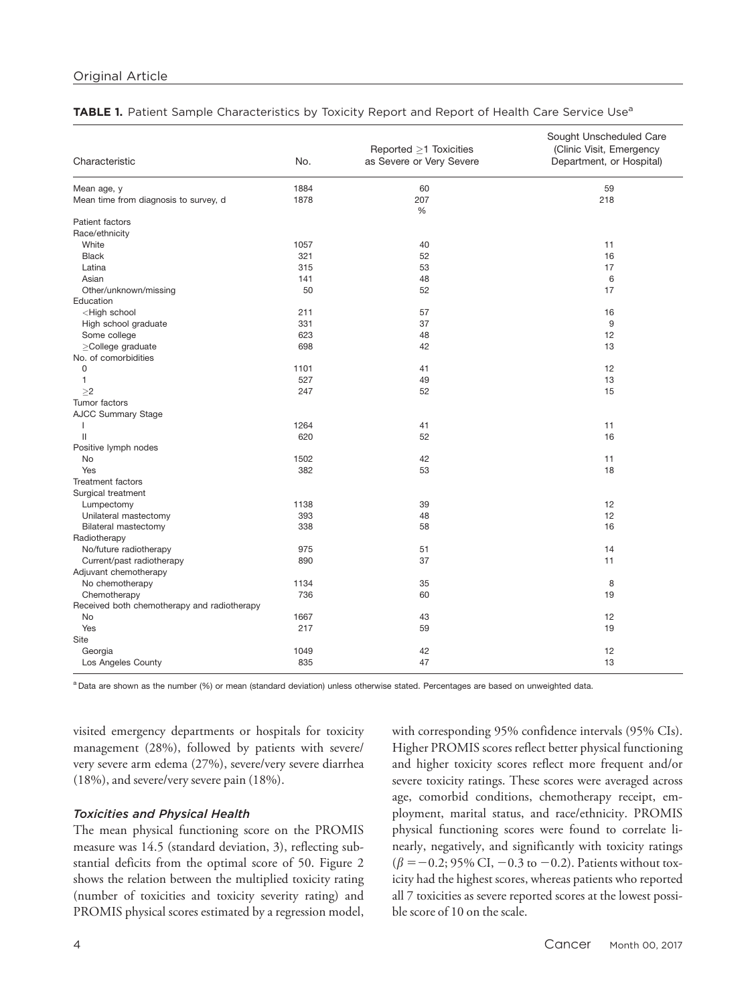| Characteristic                                                   | No.  | Reported ≥1 Toxicities<br>as Severe or Very Severe | Sought Unscheduled Care<br>(Clinic Visit, Emergency<br>Department, or Hospital) |
|------------------------------------------------------------------|------|----------------------------------------------------|---------------------------------------------------------------------------------|
|                                                                  | 1884 | 60                                                 | 59                                                                              |
| Mean age, y<br>Mean time from diagnosis to survey, d             | 1878 | 207                                                | 218                                                                             |
|                                                                  |      | %                                                  |                                                                                 |
| Patient factors                                                  |      |                                                    |                                                                                 |
| Race/ethnicity                                                   |      |                                                    |                                                                                 |
| White                                                            | 1057 | 40                                                 | 11                                                                              |
| <b>Black</b>                                                     | 321  | 52                                                 | 16                                                                              |
| Latina                                                           | 315  | 53                                                 | 17                                                                              |
| Asian                                                            | 141  | 48                                                 | 6                                                                               |
| Other/unknown/missing                                            | 50   | 52                                                 | 17                                                                              |
| Education                                                        |      |                                                    |                                                                                 |
| <high school<="" td=""><td>211</td><td>57</td><td>16</td></high> | 211  | 57                                                 | 16                                                                              |
| High school graduate                                             | 331  | 37                                                 | 9                                                                               |
| Some college                                                     | 623  | 48                                                 | 12                                                                              |
| $\geq$ College graduate                                          | 698  | 42                                                 | 13                                                                              |
| No. of comorbidities                                             |      |                                                    |                                                                                 |
| $\mathbf 0$                                                      | 1101 | 41                                                 | 12                                                                              |
| 1                                                                | 527  | 49                                                 | 13                                                                              |
| $\geq$                                                           | 247  | 52                                                 | 15                                                                              |
| Tumor factors                                                    |      |                                                    |                                                                                 |
| AJCC Summary Stage                                               |      |                                                    |                                                                                 |
|                                                                  | 1264 | 41                                                 | 11                                                                              |
| $\mathbf{II}$                                                    | 620  | 52                                                 | 16                                                                              |
| Positive lymph nodes                                             |      |                                                    |                                                                                 |
| No                                                               | 1502 | 42                                                 | 11                                                                              |
| Yes                                                              | 382  | 53                                                 | 18                                                                              |
| <b>Treatment factors</b>                                         |      |                                                    |                                                                                 |
| Surgical treatment                                               |      |                                                    |                                                                                 |
| Lumpectomy                                                       | 1138 | 39                                                 | 12                                                                              |
| Unilateral mastectomy                                            | 393  | 48                                                 | 12                                                                              |
| Bilateral mastectomy                                             | 338  | 58                                                 | 16                                                                              |
| Radiotherapy                                                     |      |                                                    |                                                                                 |
| No/future radiotherapy                                           | 975  | 51                                                 | 14                                                                              |
| Current/past radiotherapy                                        | 890  | 37                                                 | 11                                                                              |
| Adjuvant chemotherapy                                            |      |                                                    |                                                                                 |
| No chemotherapy                                                  | 1134 | 35                                                 | 8                                                                               |
| Chemotherapy                                                     | 736  | 60                                                 | 19                                                                              |
| Received both chemotherapy and radiotherapy                      |      |                                                    |                                                                                 |
| No                                                               | 1667 | 43                                                 | 12                                                                              |
| Yes                                                              | 217  | 59                                                 | 19                                                                              |
| Site                                                             |      |                                                    |                                                                                 |
| Georgia                                                          | 1049 | 42                                                 | 12                                                                              |
| Los Angeles County                                               | 835  | 47                                                 | 13                                                                              |

#### TABLE 1. Patient Sample Characteristics by Toxicity Report and Report of Health Care Service Use<sup>a</sup>

a Data are shown as the number (%) or mean (standard deviation) unless otherwise stated. Percentages are based on unweighted data.

visited emergency departments or hospitals for toxicity management (28%), followed by patients with severe/ very severe arm edema (27%), severe/very severe diarrhea (18%), and severe/very severe pain (18%).

# Toxicities and Physical Health

The mean physical functioning score on the PROMIS measure was 14.5 (standard deviation, 3), reflecting substantial deficits from the optimal score of 50. Figure 2 shows the relation between the multiplied toxicity rating (number of toxicities and toxicity severity rating) and PROMIS physical scores estimated by a regression model, with corresponding 95% confidence intervals (95% CIs). Higher PROMIS scores reflect better physical functioning and higher toxicity scores reflect more frequent and/or severe toxicity ratings. These scores were averaged across age, comorbid conditions, chemotherapy receipt, employment, marital status, and race/ethnicity. PROMIS physical functioning scores were found to correlate linearly, negatively, and significantly with toxicity ratings  $(\beta = -0.2; 95\% \text{ CI}, -0.3 \text{ to } -0.2)$ . Patients without toxicity had the highest scores, whereas patients who reported all 7 toxicities as severe reported scores at the lowest possible score of 10 on the scale.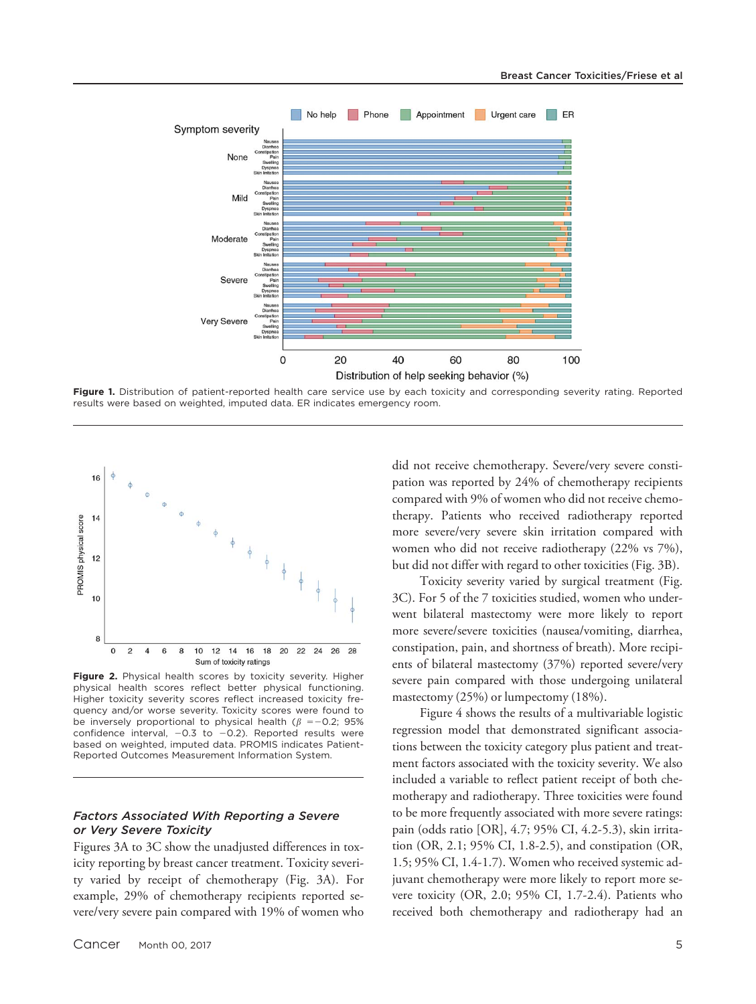

Figure 1. Distribution of patient-reported health care service use by each toxicity and corresponding severity rating. Reported results were based on weighted, imputed data. ER indicates emergency room.



Figure 2. Physical health scores by toxicity severity. Higher physical health scores reflect better physical functioning. Higher toxicity severity scores reflect increased toxicity frequency and/or worse severity. Toxicity scores were found to be inversely proportional to physical health ( $\beta = -0.2$ ; 95% confidence interval,  $-0.3$  to  $-0.2$ ). Reported results were based on weighted, imputed data. PROMIS indicates Patient-Reported Outcomes Measurement Information System.

### Factors Associated With Reporting a Severe or Very Severe Toxicity

Figures 3A to 3C show the unadjusted differences in toxicity reporting by breast cancer treatment. Toxicity severity varied by receipt of chemotherapy (Fig. 3A). For example, 29% of chemotherapy recipients reported severe/very severe pain compared with 19% of women who did not receive chemotherapy. Severe/very severe constipation was reported by 24% of chemotherapy recipients compared with 9% of women who did not receive chemotherapy. Patients who received radiotherapy reported more severe/very severe skin irritation compared with women who did not receive radiotherapy (22% vs 7%), but did not differ with regard to other toxicities (Fig. 3B).

Toxicity severity varied by surgical treatment (Fig. 3C). For 5 of the 7 toxicities studied, women who underwent bilateral mastectomy were more likely to report more severe/severe toxicities (nausea/vomiting, diarrhea, constipation, pain, and shortness of breath). More recipients of bilateral mastectomy (37%) reported severe/very severe pain compared with those undergoing unilateral mastectomy (25%) or lumpectomy (18%).

Figure 4 shows the results of a multivariable logistic regression model that demonstrated significant associations between the toxicity category plus patient and treatment factors associated with the toxicity severity. We also included a variable to reflect patient receipt of both chemotherapy and radiotherapy. Three toxicities were found to be more frequently associated with more severe ratings: pain (odds ratio [OR], 4.7; 95% CI, 4.2-5.3), skin irritation (OR, 2.1; 95% CI, 1.8-2.5), and constipation (OR, 1.5; 95% CI, 1.4-1.7). Women who received systemic adjuvant chemotherapy were more likely to report more severe toxicity (OR, 2.0; 95% CI, 1.7-2.4). Patients who received both chemotherapy and radiotherapy had an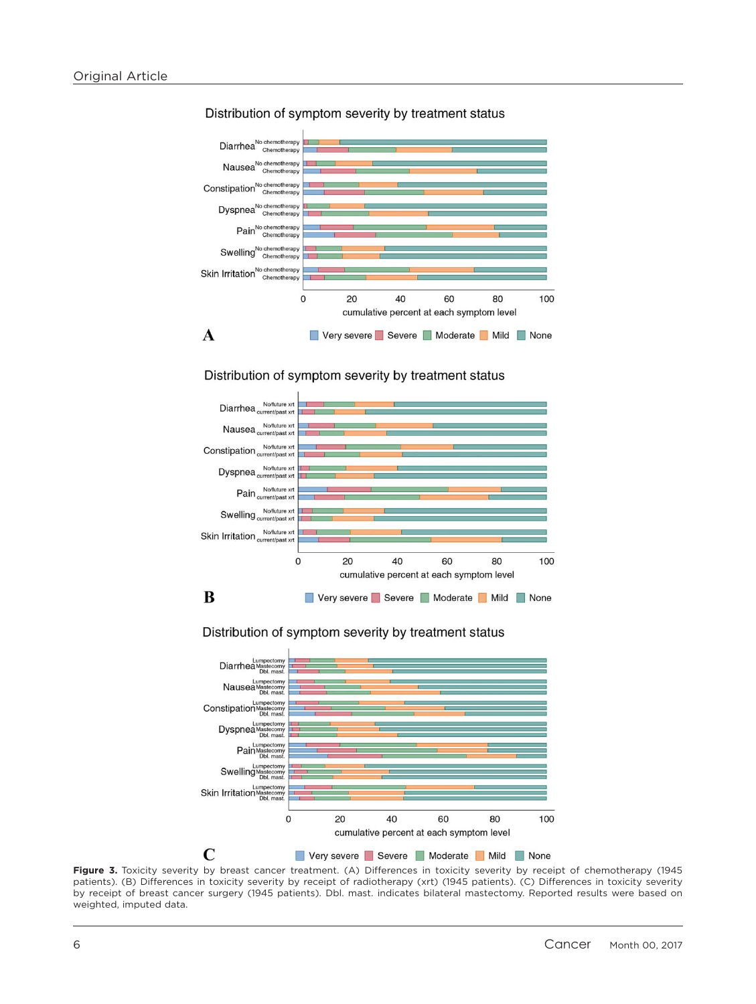

# Distribution of symptom severity by treatment status







Distribution of symptom severity by treatment status

**Swelling**<sup>M</sup> Lumpectomy<br>Skin Irritation Mastecomy

C

 $\mathbf 0$ 

Figure 3. Toxicity severity by breast cancer treatment. (A) Differences in toxicity severity by receipt of chemotherapy (1945 patients). (B) Differences in toxicity severity by receipt of radiotherapy (xrt) (1945 patients). (C) Differences in toxicity severity by receipt of breast cancer surgery (1945 patients). Dbl. mast. indicates bilateral mastectomy. Reported results were based on weighted, imputed data.

40

60

cumulative percent at each symptom level

Very severe Severe Moderate Mild None

80

100

20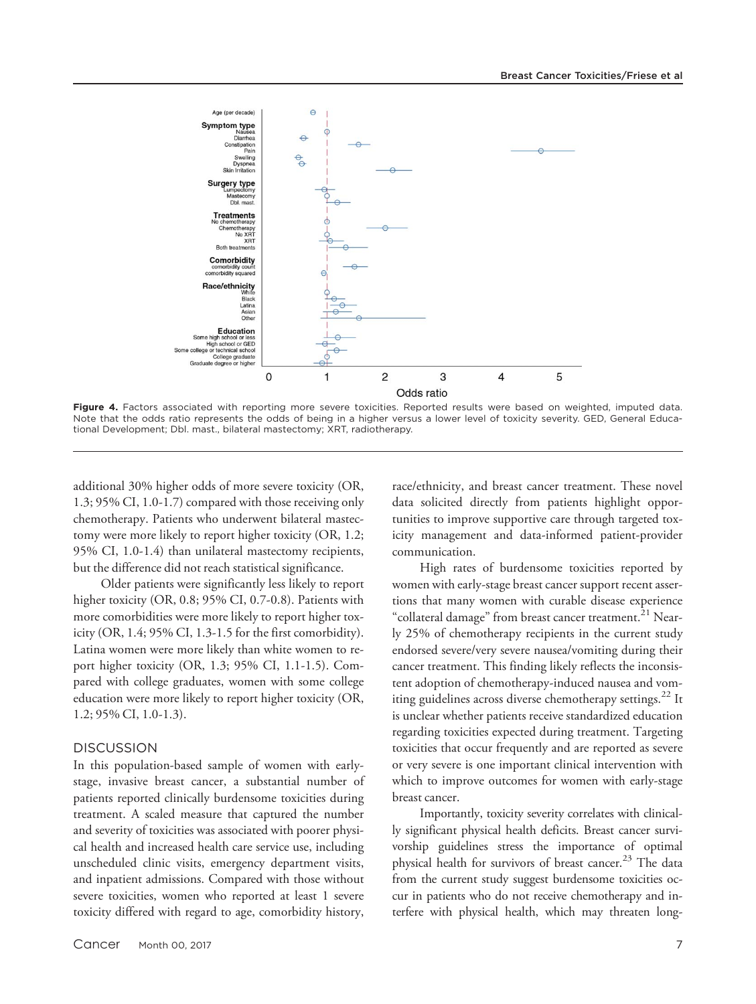

Figure 4. Factors associated with reporting more severe toxicities. Reported results were based on weighted, imputed data. Note that the odds ratio represents the odds of being in a higher versus a lower level of toxicity severity. GED, General Educational Development; Dbl. mast., bilateral mastectomy; XRT, radiotherapy.

additional 30% higher odds of more severe toxicity (OR, 1.3; 95% CI, 1.0-1.7) compared with those receiving only chemotherapy. Patients who underwent bilateral mastectomy were more likely to report higher toxicity (OR, 1.2; 95% CI, 1.0-1.4) than unilateral mastectomy recipients, but the difference did not reach statistical significance.

Older patients were significantly less likely to report higher toxicity (OR, 0.8; 95% CI, 0.7-0.8). Patients with more comorbidities were more likely to report higher toxicity (OR, 1.4; 95% CI, 1.3-1.5 for the first comorbidity). Latina women were more likely than white women to report higher toxicity (OR, 1.3; 95% CI, 1.1-1.5). Compared with college graduates, women with some college education were more likely to report higher toxicity (OR, 1.2; 95% CI, 1.0-1.3).

#### **DISCUSSION**

In this population-based sample of women with earlystage, invasive breast cancer, a substantial number of patients reported clinically burdensome toxicities during treatment. A scaled measure that captured the number and severity of toxicities was associated with poorer physical health and increased health care service use, including unscheduled clinic visits, emergency department visits, and inpatient admissions. Compared with those without severe toxicities, women who reported at least 1 severe toxicity differed with regard to age, comorbidity history,

Cancer Month 00, 2017 **7** 2008 7 2008 7 2008 7 2008 7 2008 7 2008 7 2008 7 2008 7 2008 7 2008 7 2008 7 2008 7 2008 7 2008 7 2008 7 2008 7 2008 7 2008 7 2008 7 2008 7 2008 7 2008 7 2008 7 2008 7 2008 7 2008 7 2008 7 2008 7

race/ethnicity, and breast cancer treatment. These novel data solicited directly from patients highlight opportunities to improve supportive care through targeted toxicity management and data-informed patient-provider communication.

High rates of burdensome toxicities reported by women with early-stage breast cancer support recent assertions that many women with curable disease experience "collateral damage" from breast cancer treatment.<sup>21</sup> Nearly 25% of chemotherapy recipients in the current study endorsed severe/very severe nausea/vomiting during their cancer treatment. This finding likely reflects the inconsistent adoption of chemotherapy-induced nausea and vomiting guidelines across diverse chemotherapy settings.<sup>22</sup> It is unclear whether patients receive standardized education regarding toxicities expected during treatment. Targeting toxicities that occur frequently and are reported as severe or very severe is one important clinical intervention with which to improve outcomes for women with early-stage breast cancer.

Importantly, toxicity severity correlates with clinically significant physical health deficits. Breast cancer survivorship guidelines stress the importance of optimal physical health for survivors of breast cancer.<sup>23</sup> The data from the current study suggest burdensome toxicities occur in patients who do not receive chemotherapy and interfere with physical health, which may threaten long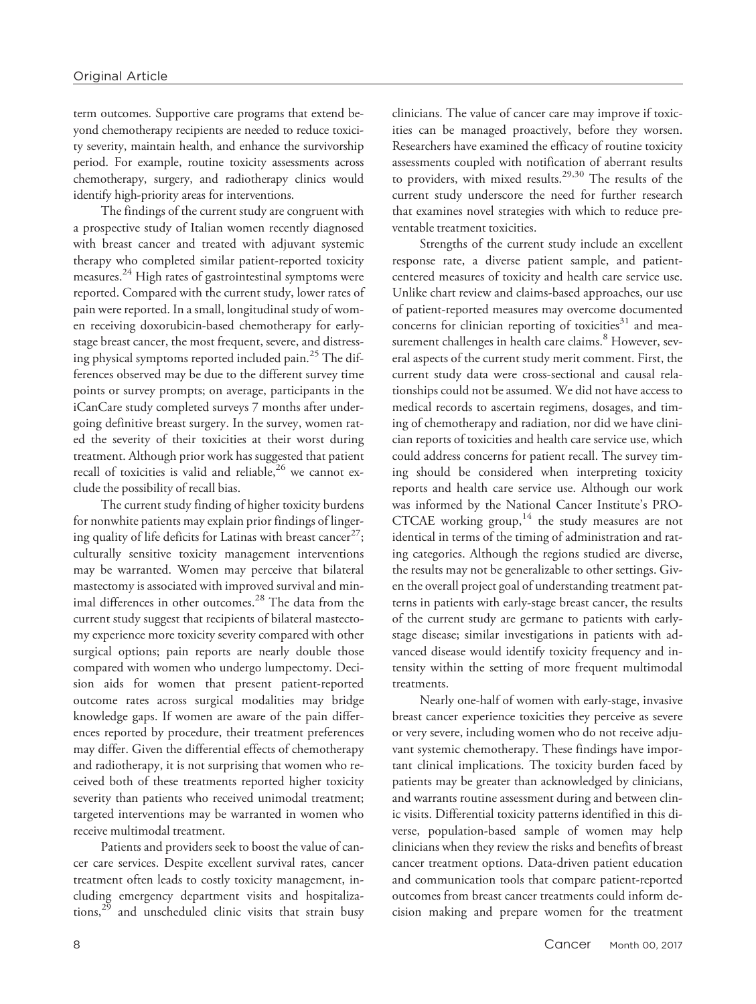term outcomes. Supportive care programs that extend beyond chemotherapy recipients are needed to reduce toxicity severity, maintain health, and enhance the survivorship period. For example, routine toxicity assessments across chemotherapy, surgery, and radiotherapy clinics would identify high-priority areas for interventions.

The findings of the current study are congruent with a prospective study of Italian women recently diagnosed with breast cancer and treated with adjuvant systemic therapy who completed similar patient-reported toxicity measures. <sup>24</sup> High rates of gastrointestinal symptoms were reported. Compared with the current study, lower rates of pain were reported. In a small, longitudinal study of women receiving doxorubicin-based chemotherapy for earlystage breast cancer, the most frequent, severe, and distressing physical symptoms reported included pain.<sup>25</sup> The differences observed may be due to the different survey time points or survey prompts; on average, participants in the iCanCare study completed surveys 7 months after undergoing definitive breast surgery. In the survey, women rated the severity of their toxicities at their worst during treatment. Although prior work has suggested that patient recall of toxicities is valid and reliable,  $26$  we cannot exclude the possibility of recall bias.

The current study finding of higher toxicity burdens for nonwhite patients may explain prior findings of lingering quality of life deficits for Latinas with breast cancer<sup>27</sup>; culturally sensitive toxicity management interventions may be warranted. Women may perceive that bilateral mastectomy is associated with improved survival and minimal differences in other outcomes.<sup>28</sup> The data from the current study suggest that recipients of bilateral mastectomy experience more toxicity severity compared with other surgical options; pain reports are nearly double those compared with women who undergo lumpectomy. Decision aids for women that present patient-reported outcome rates across surgical modalities may bridge knowledge gaps. If women are aware of the pain differences reported by procedure, their treatment preferences may differ. Given the differential effects of chemotherapy and radiotherapy, it is not surprising that women who received both of these treatments reported higher toxicity severity than patients who received unimodal treatment; targeted interventions may be warranted in women who receive multimodal treatment.

Patients and providers seek to boost the value of cancer care services. Despite excellent survival rates, cancer treatment often leads to costly toxicity management, including emergency department visits and hospitalizations,<sup>29</sup> and unscheduled clinic visits that strain busy clinicians. The value of cancer care may improve if toxicities can be managed proactively, before they worsen. Researchers have examined the efficacy of routine toxicity assessments coupled with notification of aberrant results to providers, with mixed results.<sup>29,30</sup> The results of the current study underscore the need for further research that examines novel strategies with which to reduce preventable treatment toxicities.

Strengths of the current study include an excellent response rate, a diverse patient sample, and patientcentered measures of toxicity and health care service use. Unlike chart review and claims-based approaches, our use of patient-reported measures may overcome documented concerns for clinician reporting of toxicities $31$  and measurement challenges in health care claims.<sup>8</sup> However, several aspects of the current study merit comment. First, the current study data were cross-sectional and causal relationships could not be assumed. We did not have access to medical records to ascertain regimens, dosages, and timing of chemotherapy and radiation, nor did we have clinician reports of toxicities and health care service use, which could address concerns for patient recall. The survey timing should be considered when interpreting toxicity reports and health care service use. Although our work was informed by the National Cancer Institute's PRO-CTCAE working group, $14$  the study measures are not identical in terms of the timing of administration and rating categories. Although the regions studied are diverse, the results may not be generalizable to other settings. Given the overall project goal of understanding treatment patterns in patients with early-stage breast cancer, the results of the current study are germane to patients with earlystage disease; similar investigations in patients with advanced disease would identify toxicity frequency and intensity within the setting of more frequent multimodal treatments.

Nearly one-half of women with early-stage, invasive breast cancer experience toxicities they perceive as severe or very severe, including women who do not receive adjuvant systemic chemotherapy. These findings have important clinical implications. The toxicity burden faced by patients may be greater than acknowledged by clinicians, and warrants routine assessment during and between clinic visits. Differential toxicity patterns identified in this diverse, population-based sample of women may help clinicians when they review the risks and benefits of breast cancer treatment options. Data-driven patient education and communication tools that compare patient-reported outcomes from breast cancer treatments could inform decision making and prepare women for the treatment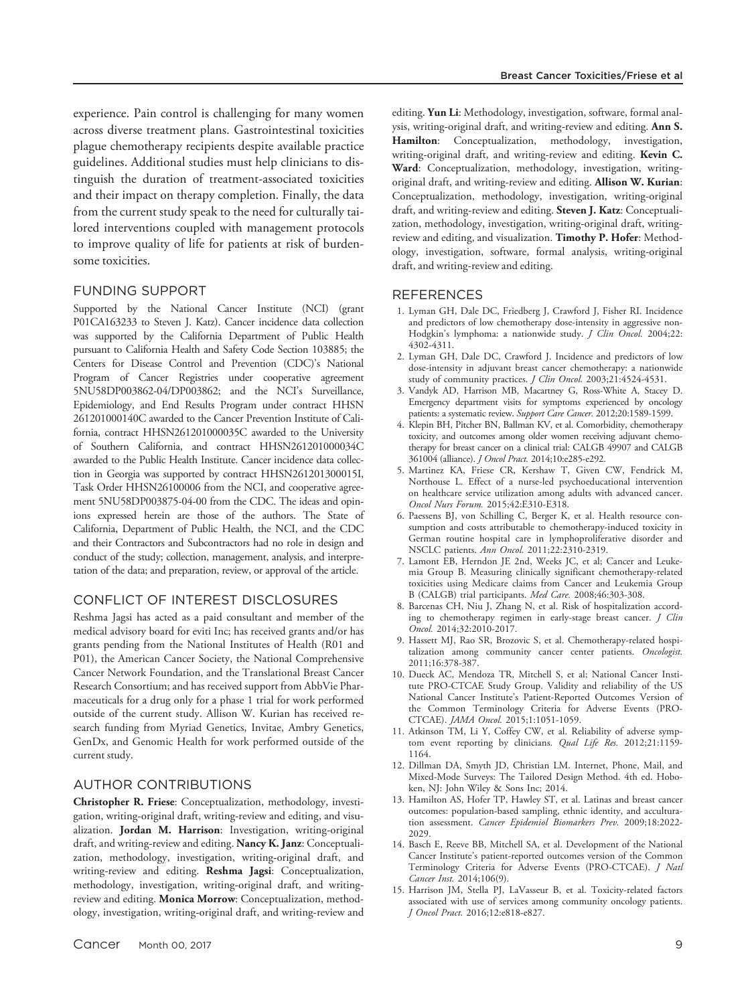experience. Pain control is challenging for many women across diverse treatment plans. Gastrointestinal toxicities plague chemotherapy recipients despite available practice guidelines. Additional studies must help clinicians to distinguish the duration of treatment-associated toxicities and their impact on therapy completion. Finally, the data from the current study speak to the need for culturally tailored interventions coupled with management protocols to improve quality of life for patients at risk of burdensome toxicities.

#### FUNDING SUPPORT

Supported by the National Cancer Institute (NCI) (grant P01CA163233 to Steven J. Katz). Cancer incidence data collection was supported by the California Department of Public Health pursuant to California Health and Safety Code Section 103885; the Centers for Disease Control and Prevention (CDC)'s National Program of Cancer Registries under cooperative agreement 5NU58DP003862-04/DP003862; and the NCI's Surveillance, Epidemiology, and End Results Program under contract HHSN 261201000140C awarded to the Cancer Prevention Institute of California, contract HHSN261201000035C awarded to the University of Southern California, and contract HHSN261201000034C awarded to the Public Health Institute. Cancer incidence data collection in Georgia was supported by contract HHSN261201300015I, Task Order HHSN26100006 from the NCI, and cooperative agreement 5NU58DP003875-04-00 from the CDC. The ideas and opinions expressed herein are those of the authors. The State of California, Department of Public Health, the NCI, and the CDC and their Contractors and Subcontractors had no role in design and conduct of the study; collection, management, analysis, and interpretation of the data; and preparation, review, or approval of the article.

# CONFLICT OF INTEREST DISCLOSURES

Reshma Jagsi has acted as a paid consultant and member of the medical advisory board for eviti Inc; has received grants and/or has grants pending from the National Institutes of Health (R01 and P01), the American Cancer Society, the National Comprehensive Cancer Network Foundation, and the Translational Breast Cancer Research Consortium; and has received support from AbbVie Pharmaceuticals for a drug only for a phase 1 trial for work performed outside of the current study. Allison W. Kurian has received research funding from Myriad Genetics, Invitae, Ambry Genetics, GenDx, and Genomic Health for work performed outside of the current study.

#### AUTHOR CONTRIBUTIONS

Christopher R. Friese: Conceptualization, methodology, investigation, writing-original draft, writing-review and editing, and visualization. Jordan M. Harrison: Investigation, writing-original draft, and writing-review and editing. Nancy K. Janz: Conceptualization, methodology, investigation, writing-original draft, and writing-review and editing. Reshma Jagsi: Conceptualization, methodology, investigation, writing-original draft, and writingreview and editing. Monica Morrow: Conceptualization, methodology, investigation, writing-original draft, and writing-review and editing. Yun Li: Methodology, investigation, software, formal analysis, writing-original draft, and writing-review and editing. Ann S. Hamilton: Conceptualization, methodology, investigation, writing-original draft, and writing-review and editing. Kevin C. Ward: Conceptualization, methodology, investigation, writingoriginal draft, and writing-review and editing. Allison W. Kurian: Conceptualization, methodology, investigation, writing-original draft, and writing-review and editing. Steven J. Katz: Conceptualization, methodology, investigation, writing-original draft, writingreview and editing, and visualization. Timothy P. Hofer: Methodology, investigation, software, formal analysis, writing-original draft, and writing-review and editing.

#### REFERENCES

- 1. Lyman GH, Dale DC, Friedberg J, Crawford J, Fisher RI. Incidence and predictors of low chemotherapy dose-intensity in aggressive non-Hodgkin's lymphoma: a nationwide study. *J Clin Oncol.* 2004;22: 4302-4311.
- 2. Lyman GH, Dale DC, Crawford J. Incidence and predictors of low dose-intensity in adjuvant breast cancer chemotherapy: a nationwide study of community practices. *J Clin Oncol.* 2003;21:4524-4531.
- 3. Vandyk AD, Harrison MB, Macartney G, Ross-White A, Stacey D. Emergency department visits for symptoms experienced by oncology patients: a systematic review. Support Care Cancer. 2012;20:1589-1599.
- 4. Klepin BH, Pitcher BN, Ballman KV, et al. Comorbidity, chemotherapy toxicity, and outcomes among older women receiving adjuvant chemotherapy for breast cancer on a clinical trial: CALGB 49907 and CALGB 361004 (alliance). J Oncol Pract. 2014;10:e285-e292.
- 5. Martinez KA, Friese CR, Kershaw T, Given CW, Fendrick M, Northouse L. Effect of a nurse-led psychoeducational intervention on healthcare service utilization among adults with advanced cancer. Oncol Nurs Forum. 2015;42:E310-E318.
- 6. Paessens BJ, von Schilling C, Berger K, et al. Health resource consumption and costs attributable to chemotherapy-induced toxicity in German routine hospital care in lymphoproliferative disorder and NSCLC patients. Ann Oncol. 2011;22:2310-2319.
- 7. Lamont EB, Herndon JE 2nd, Weeks JC, et al; Cancer and Leukemia Group B. Measuring clinically significant chemotherapy-related toxicities using Medicare claims from Cancer and Leukemia Group B (CALGB) trial participants. Med Care. 2008;46:303-308.
- 8. Barcenas CH, Niu J, Zhang N, et al. Risk of hospitalization according to chemotherapy regimen in early-stage breast cancer. J Clin Oncol. 2014;32:2010-2017.
- 9. Hassett MJ, Rao SR, Brozovic S, et al. Chemotherapy-related hospitalization among community cancer center patients. Oncologist. 2011;16:378-387.
- 10. Dueck AC, Mendoza TR, Mitchell S, et al; National Cancer Institute PRO-CTCAE Study Group. Validity and reliability of the US National Cancer Institute's Patient-Reported Outcomes Version of the Common Terminology Criteria for Adverse Events (PRO-CTCAE). JAMA Oncol. 2015;1:1051-1059.
- 11. Atkinson TM, Li Y, Coffey CW, et al. Reliability of adverse symptom event reporting by clinicians. Qual Life Res. 2012;21:1159-1164.
- 12. Dillman DA, Smyth JD, Christian LM. Internet, Phone, Mail, and Mixed-Mode Surveys: The Tailored Design Method. 4th ed. Hoboken, NJ: John Wiley & Sons Inc; 2014.
- 13. Hamilton AS, Hofer TP, Hawley ST, et al. Latinas and breast cancer outcomes: population-based sampling, ethnic identity, and acculturation assessment. Cancer Epidemiol Biomarkers Prev. 2009;18:2022- 2029.
- 14. Basch E, Reeve BB, Mitchell SA, et al. Development of the National Cancer Institute's patient-reported outcomes version of the Common Terminology Criteria for Adverse Events (PRO-CTCAE). J Natl Cancer Inst. 2014;106(9).
- 15. Harrison JM, Stella PJ, LaVasseur B, et al. Toxicity-related factors associated with use of services among community oncology patients. J Oncol Pract. 2016;12:e818-e827.